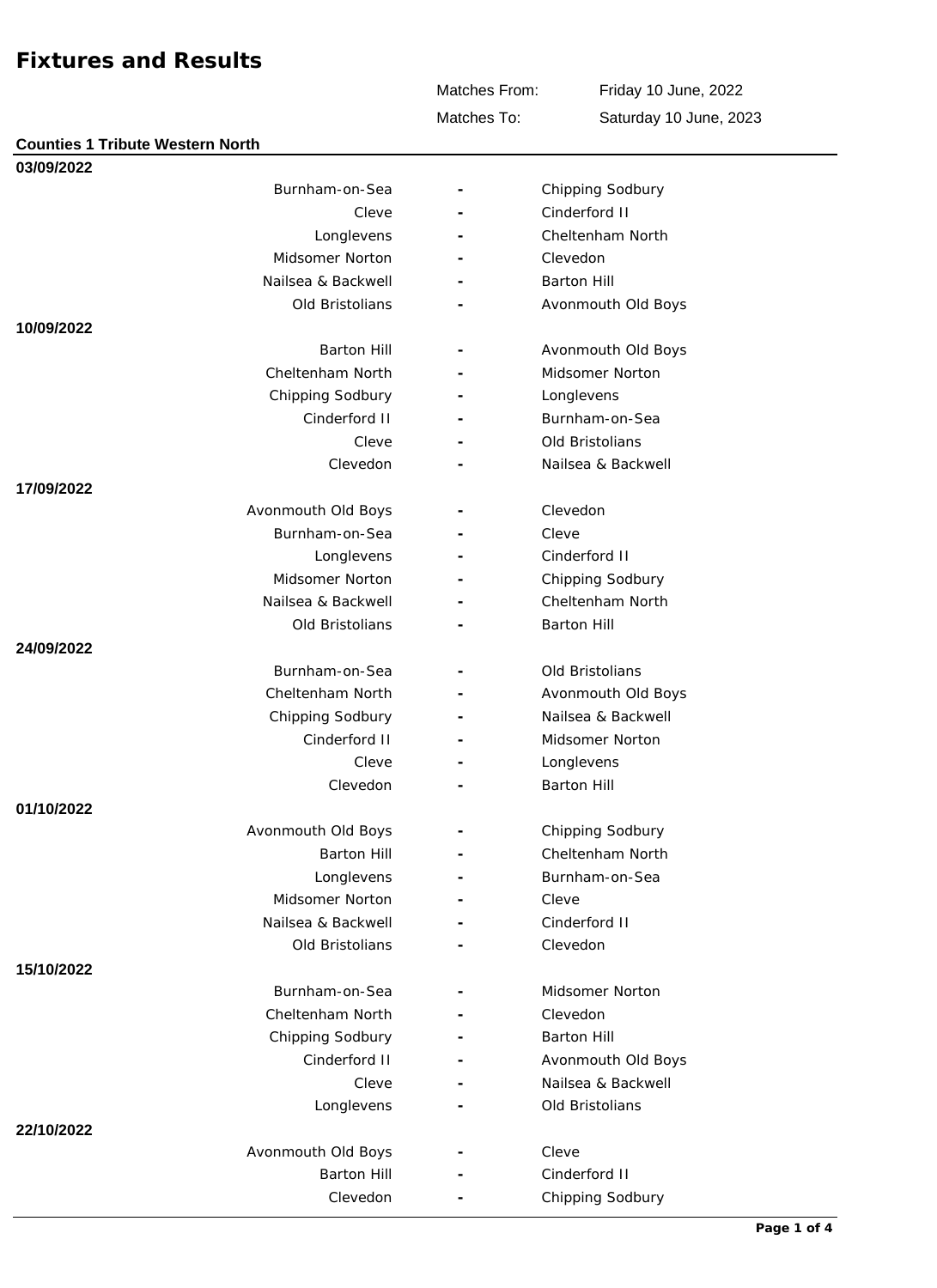Matches From:

Friday 10 June, 2022 Saturday 10 June, 2023

Matches To:

| 03/09/2022 |                    |                    |
|------------|--------------------|--------------------|
|            | Burnham-on-Sea     | Chipping Sodbury   |
|            | Cleve              | Cinderford II      |
|            | Longlevens         | Cheltenham North   |
|            | Midsomer Norton    | Clevedon           |
|            | Nailsea & Backwell | <b>Barton Hill</b> |
|            | Old Bristolians    | Avonmouth Old Boys |
| 10/09/2022 |                    |                    |
|            | <b>Barton Hill</b> | Avonmouth Old Boys |
|            | Cheltenham North   | Midsomer Norton    |
|            | Chipping Sodbury   | Longlevens         |
|            | Cinderford II      | Burnham-on-Sea     |
|            | Cleve              | Old Bristolians    |
|            | Clevedon           | Nailsea & Backwell |
| 17/09/2022 |                    |                    |
|            | Avonmouth Old Boys | Clevedon           |
|            | Burnham-on-Sea     | Cleve              |
|            | Longlevens         | Cinderford II      |
|            | Midsomer Norton    | Chipping Sodbury   |
|            | Nailsea & Backwell | Cheltenham North   |
|            | Old Bristolians    | <b>Barton Hill</b> |
| 24/09/2022 |                    |                    |
|            | Burnham-on-Sea     | Old Bristolians    |
|            | Cheltenham North   | Avonmouth Old Boys |
|            | Chipping Sodbury   | Nailsea & Backwell |
|            | Cinderford II      | Midsomer Norton    |
|            | Cleve              | Longlevens         |
|            | Clevedon           | <b>Barton Hill</b> |
| 01/10/2022 |                    |                    |
|            | Avonmouth Old Boys | Chipping Sodbury   |
|            | <b>Barton Hill</b> | Cheltenham North   |
|            | Longlevens         | Burnham-on-Sea     |
|            | Midsomer Norton    | Cleve              |
|            | Nailsea & Backwell | Cinderford II      |
|            | Old Bristolians    | Clevedon           |
| 15/10/2022 |                    |                    |
|            | Burnham-on-Sea     | Midsomer Norton    |
|            | Cheltenham North   | Clevedon           |
|            | Chipping Sodbury   | <b>Barton Hill</b> |
|            | Cinderford II      | Avonmouth Old Boys |
|            | Cleve              | Nailsea & Backwell |
|            | Longlevens         | Old Bristolians    |
| 22/10/2022 |                    |                    |
|            | Avonmouth Old Boys | Cleve              |
|            | <b>Barton Hill</b> | Cinderford II      |
|            |                    |                    |
|            | Clevedon           | Chipping Sodbury   |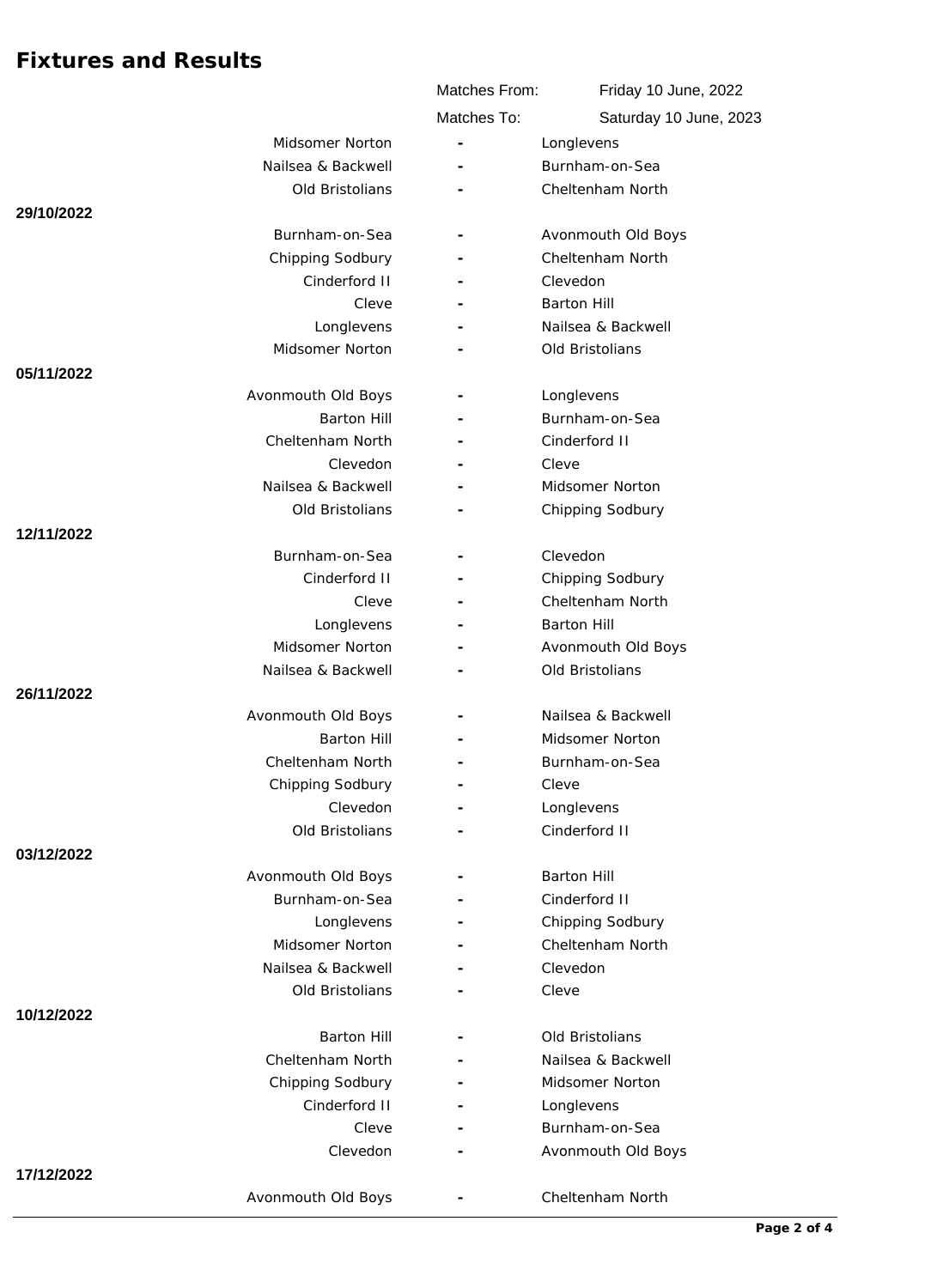|            |                    | Matches From: | Friday 10 June, 2022   |
|------------|--------------------|---------------|------------------------|
|            |                    | Matches To:   | Saturday 10 June, 2023 |
|            | Midsomer Norton    |               | Longlevens             |
|            | Nailsea & Backwell |               | Burnham-on-Sea         |
|            | Old Bristolians    |               | Cheltenham North       |
| 29/10/2022 |                    |               |                        |
|            | Burnham-on-Sea     |               | Avonmouth Old Boys     |
|            | Chipping Sodbury   |               | Cheltenham North       |
|            | Cinderford II      |               | Clevedon               |
|            | Cleve              |               | <b>Barton Hill</b>     |
|            | Longlevens         |               | Nailsea & Backwell     |
|            | Midsomer Norton    |               | Old Bristolians        |
| 05/11/2022 |                    |               |                        |
|            | Avonmouth Old Boys |               | Longlevens             |
|            | <b>Barton Hill</b> |               | Burnham-on-Sea         |
|            | Cheltenham North   |               | Cinderford II          |
|            | Clevedon           |               | Cleve                  |
|            | Nailsea & Backwell |               | Midsomer Norton        |
|            | Old Bristolians    |               | Chipping Sodbury       |
| 12/11/2022 |                    |               |                        |
|            | Burnham-on-Sea     |               | Clevedon               |
|            | Cinderford II      |               | Chipping Sodbury       |
|            | Cleve              |               | Cheltenham North       |
|            | Longlevens         |               | <b>Barton Hill</b>     |
|            | Midsomer Norton    |               | Avonmouth Old Boys     |
|            | Nailsea & Backwell |               | Old Bristolians        |
| 26/11/2022 |                    |               |                        |
|            | Avonmouth Old Boys |               | Nailsea & Backwell     |
|            | <b>Barton Hill</b> |               | Midsomer Norton        |
|            | Cheltenham North   |               | Burnham-on-Sea         |
|            | Chipping Sodbury   |               | Cleve                  |
|            | Clevedon           |               | Longlevens             |
|            | Old Bristolians    |               | Cinderford II          |
| 03/12/2022 |                    |               |                        |
|            | Avonmouth Old Boys |               | <b>Barton Hill</b>     |
|            | Burnham-on-Sea     |               | Cinderford II          |
|            | Longlevens         |               | Chipping Sodbury       |
|            | Midsomer Norton    |               | Cheltenham North       |
|            | Nailsea & Backwell |               | Clevedon               |
|            | Old Bristolians    |               | Cleve                  |
| 10/12/2022 |                    |               |                        |
|            | <b>Barton Hill</b> |               | Old Bristolians        |
|            | Cheltenham North   |               | Nailsea & Backwell     |
|            | Chipping Sodbury   |               | Midsomer Norton        |
|            | Cinderford II      |               | Longlevens             |
|            | Cleve              |               | Burnham-on-Sea         |
|            | Clevedon           |               | Avonmouth Old Boys     |
| 17/12/2022 |                    |               |                        |
|            | Avonmouth Old Boys |               | Cheltenham North       |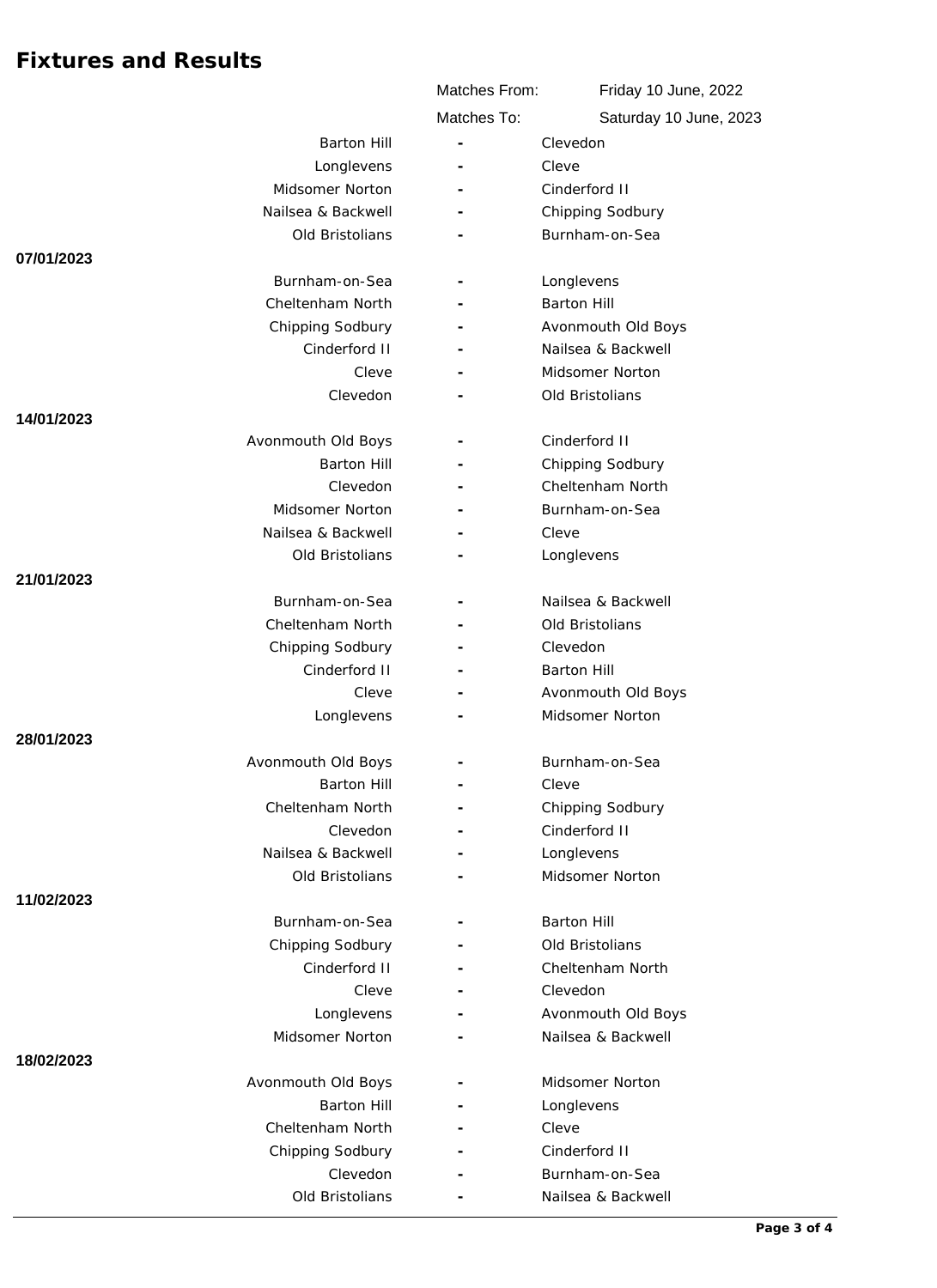|                    | Matches From:            | Friday 10 June, 2022<br>Saturday 10 June, 2023 |
|--------------------|--------------------------|------------------------------------------------|
|                    | Matches To:              |                                                |
| <b>Barton Hill</b> | ÷.                       | Clevedon                                       |
| Longlevens         |                          | Cleve                                          |
| Midsomer Norton    |                          | Cinderford II                                  |
| Nailsea & Backwell | $\overline{\phantom{a}}$ | Chipping Sodbury                               |
| Old Bristolians    |                          | Burnham-on-Sea                                 |
| 07/01/2023         |                          |                                                |
| Burnham-on-Sea     |                          | Longlevens                                     |
| Cheltenham North   |                          | <b>Barton Hill</b>                             |
| Chipping Sodbury   |                          | Avonmouth Old Boys                             |
| Cinderford II      |                          | Nailsea & Backwell                             |
| Cleve              |                          | Midsomer Norton                                |
| Clevedon           |                          | Old Bristolians                                |
| 14/01/2023         |                          |                                                |
| Avonmouth Old Boys |                          | Cinderford II                                  |
| <b>Barton Hill</b> |                          | Chipping Sodbury                               |
| Clevedon           |                          | Cheltenham North                               |
| Midsomer Norton    |                          | Burnham-on-Sea                                 |
| Nailsea & Backwell |                          | Cleve                                          |
| Old Bristolians    |                          | Longlevens                                     |
| 21/01/2023         |                          |                                                |
| Burnham-on-Sea     |                          | Nailsea & Backwell                             |
| Cheltenham North   |                          | Old Bristolians                                |
| Chipping Sodbury   |                          | Clevedon                                       |
| Cinderford II      |                          | <b>Barton Hill</b>                             |
| Cleve              |                          | Avonmouth Old Boys                             |
| Longlevens         |                          | Midsomer Norton                                |
| 28/01/2023         |                          |                                                |
| Avonmouth Old Boys |                          | Burnham-on-Sea                                 |
| <b>Barton Hill</b> |                          | Cleve                                          |
| Cheltenham North   | $\overline{\phantom{a}}$ | Chipping Sodbury                               |
| Clevedon           |                          | Cinderford II                                  |
| Nailsea & Backwell |                          | Longlevens                                     |
| Old Bristolians    |                          | Midsomer Norton                                |
| 11/02/2023         |                          |                                                |
| Burnham-on-Sea     |                          | <b>Barton Hill</b>                             |
| Chipping Sodbury   |                          | Old Bristolians                                |
| Cinderford II      |                          | Cheltenham North                               |
| Cleve              | $\overline{\phantom{a}}$ | Clevedon                                       |
| Longlevens         |                          | Avonmouth Old Boys                             |
| Midsomer Norton    |                          | Nailsea & Backwell                             |
| 18/02/2023         |                          |                                                |
| Avonmouth Old Boys |                          | Midsomer Norton                                |
| <b>Barton Hill</b> |                          | Longlevens                                     |
| Cheltenham North   |                          | Cleve                                          |
| Chipping Sodbury   |                          | Cinderford II                                  |
| Clevedon           |                          | Burnham-on-Sea                                 |
| Old Bristolians    |                          | Nailsea & Backwell                             |